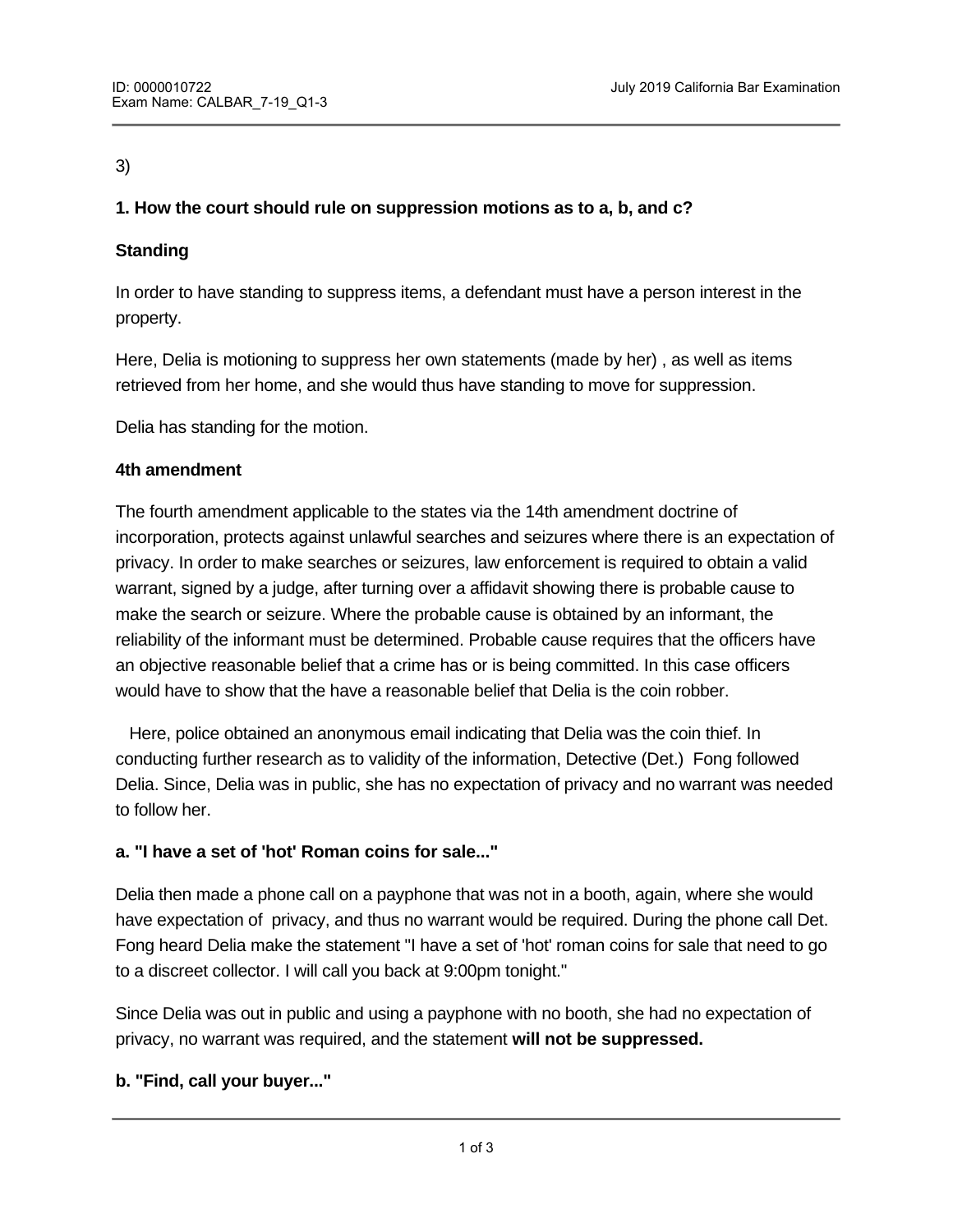#### 3)

# **1. How the court should rule on suppression motions as to a, b, and c?**

## **Standing**

In order to have standing to suppress items, a defendant must have a person interest in the property.

Here, Delia is motioning to suppress her own statements (made by her) , as well as items retrieved from her home, and she would thus have standing to move for suppression.

Delia has standing for the motion.

#### **4th amendment**

The fourth amendment applicable to the states via the 14th amendment doctrine of incorporation, protects against unlawful searches and seizures where there is an expectation of privacy. In order to make searches or seizures, law enforcement is required to obtain a valid warrant, signed by a judge, after turning over a affidavit showing there is probable cause to make the search or seizure. Where the probable cause is obtained by an informant, the reliability of the informant must be determined. Probable cause requires that the officers have an objective reasonable belief that a crime has or is being committed. In this case officers would have to show that the have a reasonable belief that Delia is the coin robber.

 Here, police obtained an anonymous email indicating that Delia was the coin thief. In conducting further research as to validity of the information, Detective (Det.) Fong followed Delia. Since, Delia was in public, she has no expectation of privacy and no warrant was needed to follow her.

## **a. "I have a set of 'hot' Roman coins for sale..."**

Delia then made a phone call on a payphone that was not in a booth, again, where she would have expectation of privacy, and thus no warrant would be required. During the phone call Det. Fong heard Delia make the statement "I have a set of 'hot' roman coins for sale that need to go to a discreet collector. I will call you back at 9:00pm tonight."

Since Delia was out in public and using a payphone with no booth, she had no expectation of privacy, no warrant was required, and the statement **will not be suppressed.** 

## **b. "Find, call your buyer..."**

Use of the "song bird" microphone "song bird" microphone "song bird" microphone "song bird" microphone "song b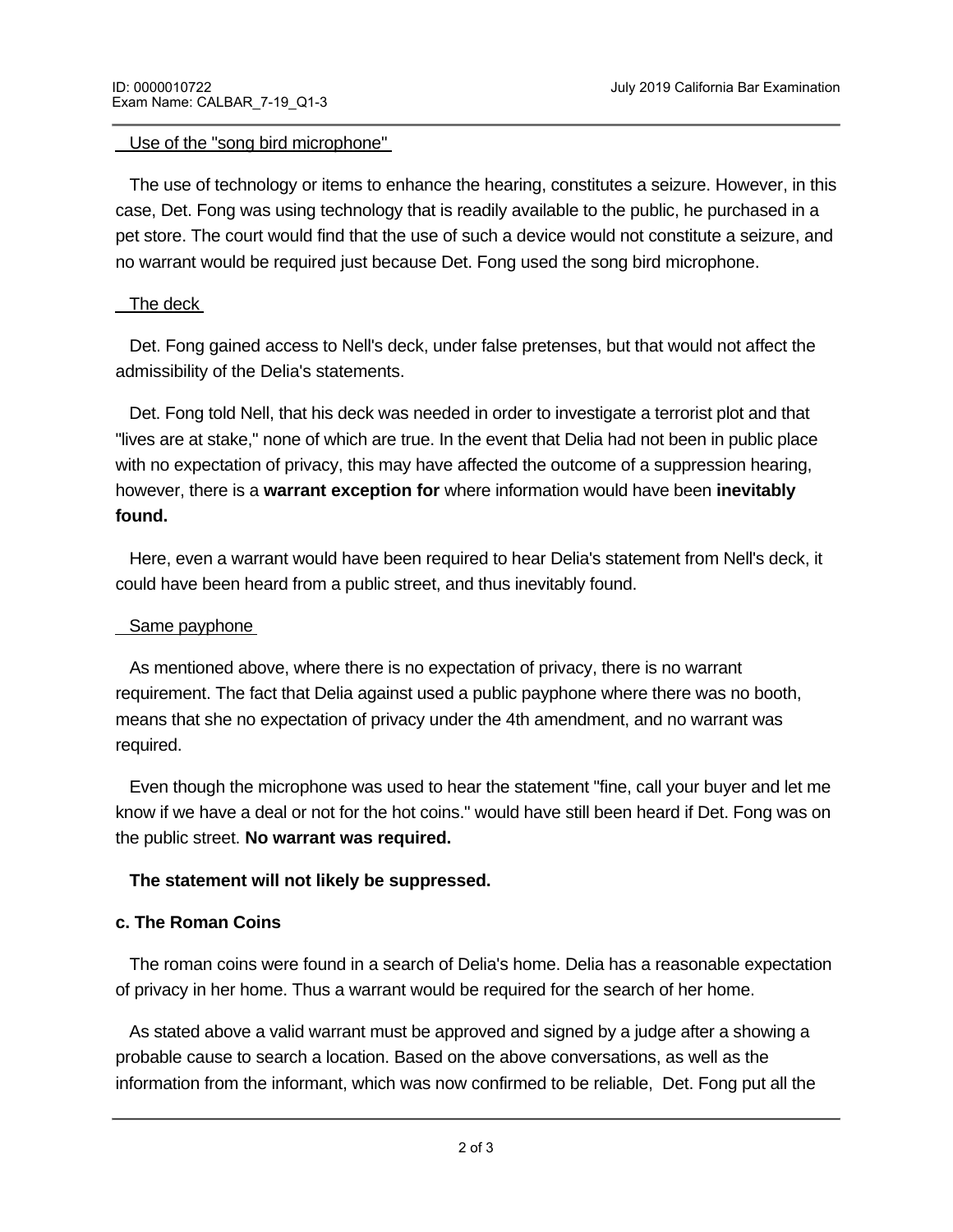#### Use of the "song bird microphone"

 The use of technology or items to enhance the hearing, constitutes a seizure. However, in this case, Det. Fong was using technology that is readily available to the public, he purchased in a pet store. The court would find that the use of such a device would not constitute a seizure, and no warrant would be required just because Det. Fong used the song bird microphone.

#### The deck

 Det. Fong gained access to Nell's deck, under false pretenses, but that would not affect the admissibility of the Delia's statements.

 Det. Fong told Nell, that his deck was needed in order to investigate a terrorist plot and that "lives are at stake," none of which are true. In the event that Delia had not been in public place with no expectation of privacy, this may have affected the outcome of a suppression hearing, however, there is a **warrant exception for** where information would have been **inevitably found.** 

 Here, even a warrant would have been required to hear Delia's statement from Nell's deck, it could have been heard from a public street, and thus inevitably found.

### Same payphone

 As mentioned above, where there is no expectation of privacy, there is no warrant requirement. The fact that Delia against used a public payphone where there was no booth, means that she no expectation of privacy under the 4th amendment, and no warrant was required.

 Even though the microphone was used to hear the statement "fine, call your buyer and let me know if we have a deal or not for the hot coins." would have still been heard if Det. Fong was on the public street. **No warrant was required.** 

## **The statement will not likely be suppressed.**

## **c. The Roman Coins**

The roman coins were found in a search of Delia's home. Delia has a reasonable expectation of privacy in her home. Thus a warrant would be required for the search of her home.

 As stated above a valid warrant must be approved and signed by a judge after a showing a probable cause to search a location. Based on the above conversations, as well as the information from the informant, which was now confirmed to be reliable, Det. Fong put all the

information into an affine and items to be searched and items to be searched and items to be searched and items